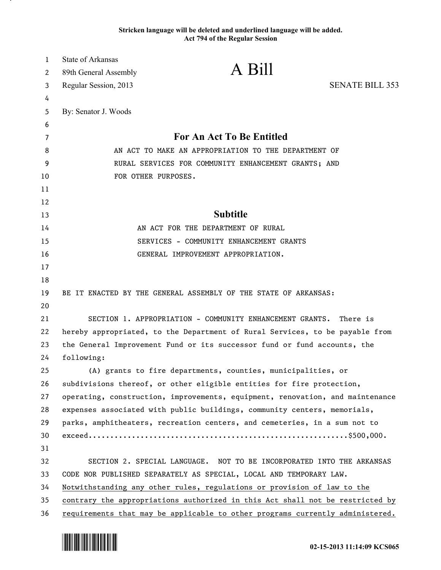## **Stricken language will be deleted and underlined language will be added. Act 794 of the Regular Session**

| $\mathbf{1}$ | <b>State of Arkansas</b>                                                                                     | A Bill                                                                        |                        |
|--------------|--------------------------------------------------------------------------------------------------------------|-------------------------------------------------------------------------------|------------------------|
| 2            | 89th General Assembly                                                                                        |                                                                               |                        |
| 3            | Regular Session, 2013                                                                                        |                                                                               | <b>SENATE BILL 353</b> |
| 4            |                                                                                                              |                                                                               |                        |
| 5            | By: Senator J. Woods                                                                                         |                                                                               |                        |
| 6            |                                                                                                              | For An Act To Be Entitled                                                     |                        |
| 7            |                                                                                                              |                                                                               |                        |
| 8            | AN ACT TO MAKE AN APPROPRIATION TO THE DEPARTMENT OF<br>RURAL SERVICES FOR COMMUNITY ENHANCEMENT GRANTS; AND |                                                                               |                        |
| 9            |                                                                                                              |                                                                               |                        |
| 10           | FOR OTHER PURPOSES.                                                                                          |                                                                               |                        |
| 11<br>12     |                                                                                                              |                                                                               |                        |
| 13           |                                                                                                              | <b>Subtitle</b>                                                               |                        |
| 14           |                                                                                                              | AN ACT FOR THE DEPARTMENT OF RURAL                                            |                        |
| 15           |                                                                                                              | SERVICES - COMMUNITY ENHANCEMENT GRANTS                                       |                        |
| 16           |                                                                                                              | GENERAL IMPROVEMENT APPROPRIATION.                                            |                        |
| 17           |                                                                                                              |                                                                               |                        |
| 18           |                                                                                                              |                                                                               |                        |
| 19           |                                                                                                              | BE IT ENACTED BY THE GENERAL ASSEMBLY OF THE STATE OF ARKANSAS:               |                        |
| 20           |                                                                                                              |                                                                               |                        |
| 21           |                                                                                                              | SECTION 1. APPROPRIATION - COMMUNITY ENHANCEMENT GRANTS.                      | There is               |
| 22           | hereby appropriated, to the Department of Rural Services, to be payable from                                 |                                                                               |                        |
| 23           | the General Improvement Fund or its successor fund or fund accounts, the                                     |                                                                               |                        |
| 24           | following:                                                                                                   |                                                                               |                        |
| 25           |                                                                                                              | (A) grants to fire departments, counties, municipalities, or                  |                        |
| 26           |                                                                                                              | subdivisions thereof, or other eligible entities for fire protection,         |                        |
| 27           |                                                                                                              | operating, construction, improvements, equipment, renovation, and maintenance |                        |
| 28           |                                                                                                              | expenses associated with public buildings, community centers, memorials,      |                        |
| 29           |                                                                                                              | parks, amphitheaters, recreation centers, and cemeteries, in a sum not to     |                        |
| 30           |                                                                                                              |                                                                               |                        |
| 31           |                                                                                                              |                                                                               |                        |
| 32           |                                                                                                              | SECTION 2. SPECIAL LANGUAGE. NOT TO BE INCORPORATED INTO THE ARKANSAS         |                        |
| 33           | CODE NOR PUBLISHED SEPARATELY AS SPECIAL, LOCAL AND TEMPORARY LAW.                                           |                                                                               |                        |
| 34           |                                                                                                              | Notwithstanding any other rules, regulations or provision of law to the       |                        |
| 35           |                                                                                                              | contrary the appropriations authorized in this Act shall not be restricted by |                        |
| 36           | requirements that may be applicable to other programs currently administered.                                |                                                                               |                        |



.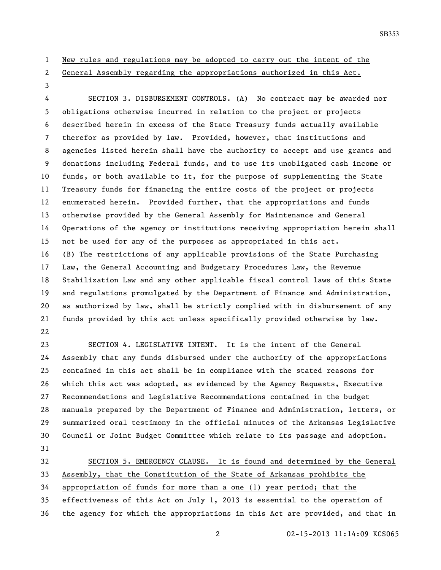## New rules and regulations may be adopted to carry out the intent of the

General Assembly regarding the appropriations authorized in this Act.

 SECTION 3. DISBURSEMENT CONTROLS. (A) No contract may be awarded nor obligations otherwise incurred in relation to the project or projects described herein in excess of the State Treasury funds actually available therefor as provided by law. Provided, however, that institutions and agencies listed herein shall have the authority to accept and use grants and donations including Federal funds, and to use its unobligated cash income or funds, or both available to it, for the purpose of supplementing the State Treasury funds for financing the entire costs of the project or projects enumerated herein. Provided further, that the appropriations and funds otherwise provided by the General Assembly for Maintenance and General Operations of the agency or institutions receiving appropriation herein shall not be used for any of the purposes as appropriated in this act. (B) The restrictions of any applicable provisions of the State Purchasing Law, the General Accounting and Budgetary Procedures Law, the Revenue Stabilization Law and any other applicable fiscal control laws of this State and regulations promulgated by the Department of Finance and Administration, as authorized by law, shall be strictly complied with in disbursement of any funds provided by this act unless specifically provided otherwise by law. 

 SECTION 4. LEGISLATIVE INTENT. It is the intent of the General Assembly that any funds disbursed under the authority of the appropriations contained in this act shall be in compliance with the stated reasons for which this act was adopted, as evidenced by the Agency Requests, Executive Recommendations and Legislative Recommendations contained in the budget manuals prepared by the Department of Finance and Administration, letters, or summarized oral testimony in the official minutes of the Arkansas Legislative Council or Joint Budget Committee which relate to its passage and adoption. 

32 SECTION 5. EMERGENCY CLAUSE. It is found and determined by the General Assembly, that the Constitution of the State of Arkansas prohibits the appropriation of funds for more than a one (1) year period; that the effectiveness of this Act on July 1, 2013 is essential to the operation of

the agency for which the appropriations in this Act are provided, and that in